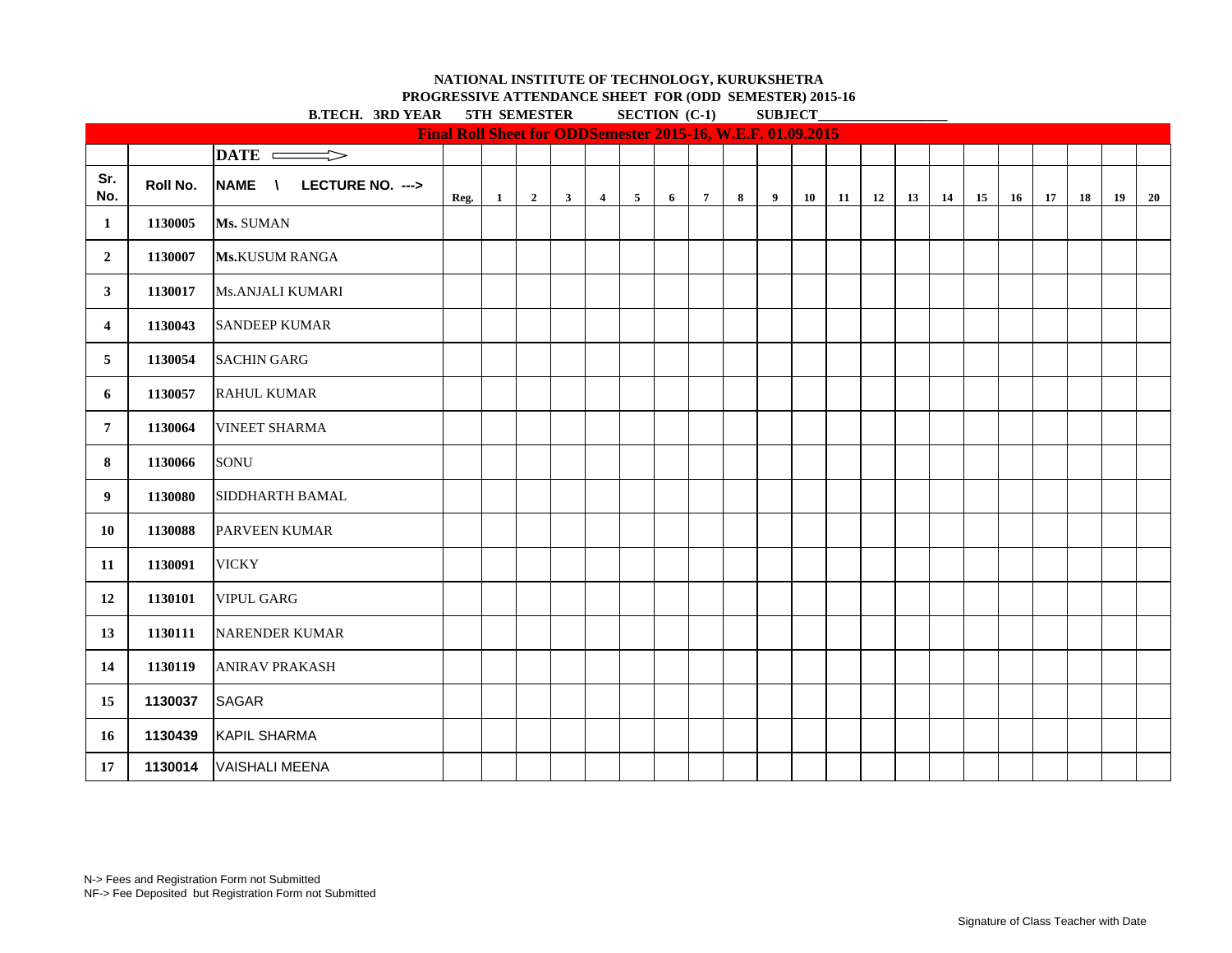**PROGRESSIVE ATTENDANCE SHEET FOR (ODD SEMESTER) 2015-16 B.TECH. 3RD VEAR 5TH SEMESTER SECTION (C-1) SUBJECT** 

|                | B.IECH. SKD YEAK<br>ЭІН ЭЕМЕЭІЕК<br>$\text{SECIION}$ (C-1)<br><b>SUBJECT</b><br>Final Roll Sheet for ODDSemester 2015-16, W.E.F. 01.09.2015 |                         |      |              |                         |              |                |                |   |                 |   |   |    |    |    |    |    |    |    |    |    |    |           |
|----------------|---------------------------------------------------------------------------------------------------------------------------------------------|-------------------------|------|--------------|-------------------------|--------------|----------------|----------------|---|-----------------|---|---|----|----|----|----|----|----|----|----|----|----|-----------|
|                |                                                                                                                                             |                         |      |              |                         |              |                |                |   |                 |   |   |    |    |    |    |    |    |    |    |    |    |           |
|                |                                                                                                                                             | DATE =<br>$\Rightarrow$ |      |              |                         |              |                |                |   |                 |   |   |    |    |    |    |    |    |    |    |    |    |           |
| Sr.<br>No.     | Roll No.                                                                                                                                    | NAME \ LECTURE NO. ---> | Reg. | $\mathbf{1}$ | $\overline{\mathbf{2}}$ | $\mathbf{3}$ | $\overline{4}$ | 5 <sub>5</sub> | 6 | $7\overline{ }$ | 8 | 9 | 10 | 11 | 12 | 13 | 14 | 15 | 16 | 17 | 18 | 19 | <b>20</b> |
| 1              | 1130005                                                                                                                                     | Ms. SUMAN               |      |              |                         |              |                |                |   |                 |   |   |    |    |    |    |    |    |    |    |    |    |           |
| $\overline{2}$ | 1130007                                                                                                                                     | <b>Ms.KUSUM RANGA</b>   |      |              |                         |              |                |                |   |                 |   |   |    |    |    |    |    |    |    |    |    |    |           |
| $\mathbf{3}$   | 1130017                                                                                                                                     | Ms.ANJALI KUMARI        |      |              |                         |              |                |                |   |                 |   |   |    |    |    |    |    |    |    |    |    |    |           |
| $\overline{4}$ | 1130043                                                                                                                                     | <b>SANDEEP KUMAR</b>    |      |              |                         |              |                |                |   |                 |   |   |    |    |    |    |    |    |    |    |    |    |           |
| 5              | 1130054                                                                                                                                     | <b>SACHIN GARG</b>      |      |              |                         |              |                |                |   |                 |   |   |    |    |    |    |    |    |    |    |    |    |           |
| 6              | 1130057                                                                                                                                     | <b>RAHUL KUMAR</b>      |      |              |                         |              |                |                |   |                 |   |   |    |    |    |    |    |    |    |    |    |    |           |
| $\overline{7}$ | 1130064                                                                                                                                     | <b>VINEET SHARMA</b>    |      |              |                         |              |                |                |   |                 |   |   |    |    |    |    |    |    |    |    |    |    |           |
| 8              | 1130066                                                                                                                                     | SONU                    |      |              |                         |              |                |                |   |                 |   |   |    |    |    |    |    |    |    |    |    |    |           |
| 9              | 1130080                                                                                                                                     | <b>SIDDHARTH BAMAL</b>  |      |              |                         |              |                |                |   |                 |   |   |    |    |    |    |    |    |    |    |    |    |           |
| 10             | 1130088                                                                                                                                     | <b>PARVEEN KUMAR</b>    |      |              |                         |              |                |                |   |                 |   |   |    |    |    |    |    |    |    |    |    |    |           |
| 11             | 1130091                                                                                                                                     | <b>VICKY</b>            |      |              |                         |              |                |                |   |                 |   |   |    |    |    |    |    |    |    |    |    |    |           |
| 12             | 1130101                                                                                                                                     | <b>VIPUL GARG</b>       |      |              |                         |              |                |                |   |                 |   |   |    |    |    |    |    |    |    |    |    |    |           |
| 13             | 1130111                                                                                                                                     | <b>NARENDER KUMAR</b>   |      |              |                         |              |                |                |   |                 |   |   |    |    |    |    |    |    |    |    |    |    |           |
| 14             | 1130119                                                                                                                                     | <b>ANIRAV PRAKASH</b>   |      |              |                         |              |                |                |   |                 |   |   |    |    |    |    |    |    |    |    |    |    |           |
| 15             | 1130037                                                                                                                                     | <b>SAGAR</b>            |      |              |                         |              |                |                |   |                 |   |   |    |    |    |    |    |    |    |    |    |    |           |
| 16             | 1130439                                                                                                                                     | KAPIL SHARMA            |      |              |                         |              |                |                |   |                 |   |   |    |    |    |    |    |    |    |    |    |    |           |
| 17             | 1130014                                                                                                                                     | VAISHALI MEENA          |      |              |                         |              |                |                |   |                 |   |   |    |    |    |    |    |    |    |    |    |    |           |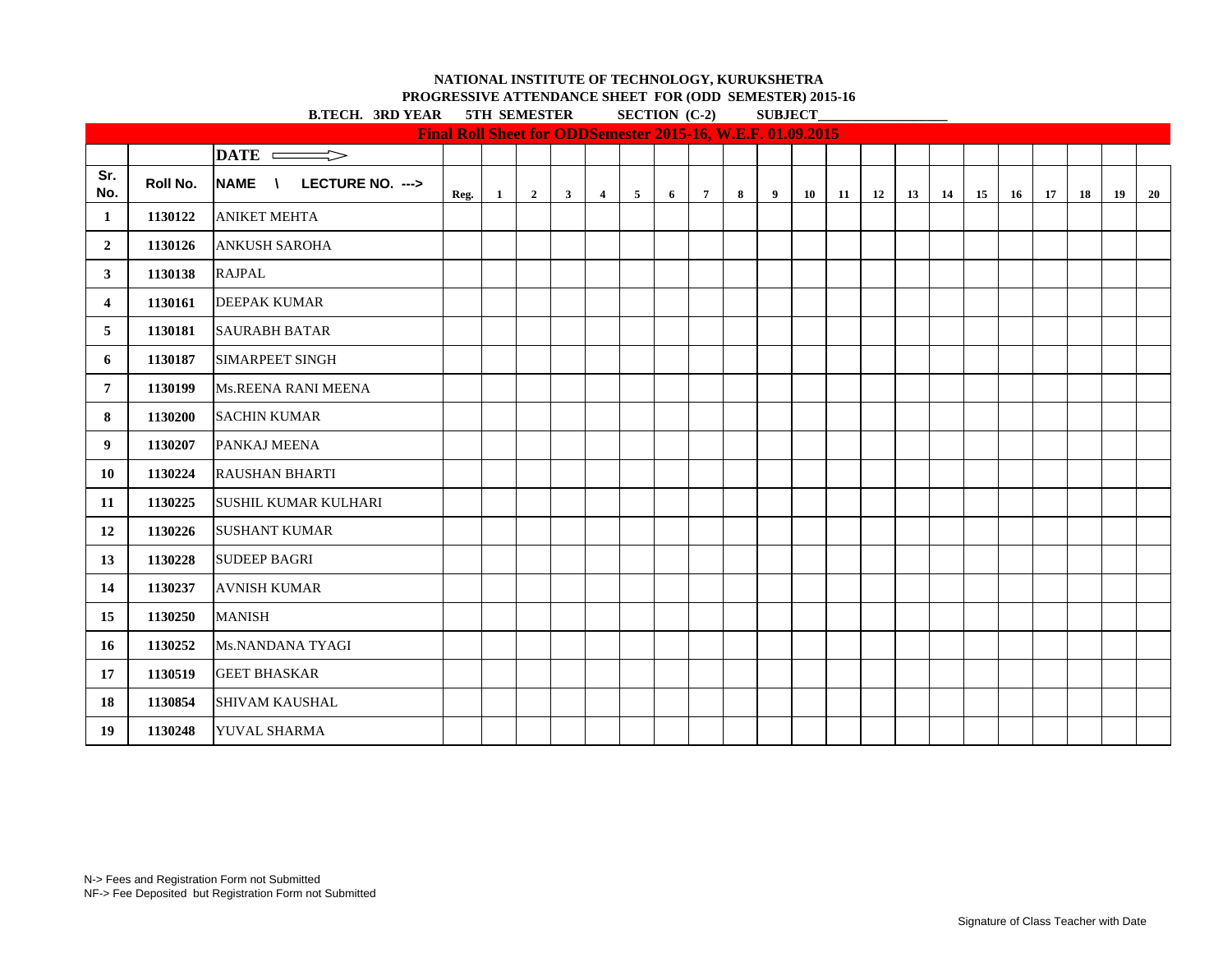**PROGRESSIVE ATTENDANCE SHEET FOR (ODD SEMESTER) 2015-16**

**B.TECH. 3RD YEAR 5TH SEMESTER SECTION (C-2) SUBJECT\_** 

|                |          |                                                  | Final Roll Sheet for ODDSemester 2015-16, W.E.F. 01.09.2015 |              |                |              |                |                |   |                 |   |                |    |    |    |    |    |    |    |    |    |    |    |
|----------------|----------|--------------------------------------------------|-------------------------------------------------------------|--------------|----------------|--------------|----------------|----------------|---|-----------------|---|----------------|----|----|----|----|----|----|----|----|----|----|----|
|                |          | $\overline{\text{DATE}}$                         |                                                             |              |                |              |                |                |   |                 |   |                |    |    |    |    |    |    |    |    |    |    |    |
| Sr.<br>No.     | Roll No. | <b>NAME</b><br>LECTURE NO. ---><br>$\mathcal{N}$ | Reg.                                                        | $\mathbf{1}$ | $\overline{2}$ | $\mathbf{3}$ | $\overline{4}$ | 5 <sup>5</sup> | 6 | $7\overline{ }$ | 8 | $\overline{9}$ | 10 | 11 | 12 | 13 | 14 | 15 | 16 | 17 | 18 | 19 | 20 |
| 1              | 1130122  | <b>ANIKET MEHTA</b>                              |                                                             |              |                |              |                |                |   |                 |   |                |    |    |    |    |    |    |    |    |    |    |    |
| $\overline{2}$ | 1130126  | ANKUSH SAROHA                                    |                                                             |              |                |              |                |                |   |                 |   |                |    |    |    |    |    |    |    |    |    |    |    |
| 3              | 1130138  | <b>RAJPAL</b>                                    |                                                             |              |                |              |                |                |   |                 |   |                |    |    |    |    |    |    |    |    |    |    |    |
| 4              | 1130161  | <b>DEEPAK KUMAR</b>                              |                                                             |              |                |              |                |                |   |                 |   |                |    |    |    |    |    |    |    |    |    |    |    |
| 5              | 1130181  | <b>SAURABH BATAR</b>                             |                                                             |              |                |              |                |                |   |                 |   |                |    |    |    |    |    |    |    |    |    |    |    |
| 6              | 1130187  | <b>SIMARPEET SINGH</b>                           |                                                             |              |                |              |                |                |   |                 |   |                |    |    |    |    |    |    |    |    |    |    |    |
| $\overline{7}$ | 1130199  | Ms.REENA RANI MEENA                              |                                                             |              |                |              |                |                |   |                 |   |                |    |    |    |    |    |    |    |    |    |    |    |
| 8              | 1130200  | <b>SACHIN KUMAR</b>                              |                                                             |              |                |              |                |                |   |                 |   |                |    |    |    |    |    |    |    |    |    |    |    |
| 9              | 1130207  | PANKAJ MEENA                                     |                                                             |              |                |              |                |                |   |                 |   |                |    |    |    |    |    |    |    |    |    |    |    |
| 10             | 1130224  | <b>RAUSHAN BHARTI</b>                            |                                                             |              |                |              |                |                |   |                 |   |                |    |    |    |    |    |    |    |    |    |    |    |
| 11             | 1130225  | <b>SUSHIL KUMAR KULHARI</b>                      |                                                             |              |                |              |                |                |   |                 |   |                |    |    |    |    |    |    |    |    |    |    |    |
| 12             | 1130226  | <b>SUSHANT KUMAR</b>                             |                                                             |              |                |              |                |                |   |                 |   |                |    |    |    |    |    |    |    |    |    |    |    |
| 13             | 1130228  | <b>SUDEEP BAGRI</b>                              |                                                             |              |                |              |                |                |   |                 |   |                |    |    |    |    |    |    |    |    |    |    |    |
| 14             | 1130237  | <b>AVNISH KUMAR</b>                              |                                                             |              |                |              |                |                |   |                 |   |                |    |    |    |    |    |    |    |    |    |    |    |
| 15             | 1130250  | <b>MANISH</b>                                    |                                                             |              |                |              |                |                |   |                 |   |                |    |    |    |    |    |    |    |    |    |    |    |
| 16             | 1130252  | Ms.NANDANA TYAGI                                 |                                                             |              |                |              |                |                |   |                 |   |                |    |    |    |    |    |    |    |    |    |    |    |
| 17             | 1130519  | <b>GEET BHASKAR</b>                              |                                                             |              |                |              |                |                |   |                 |   |                |    |    |    |    |    |    |    |    |    |    |    |
| 18             | 1130854  | <b>SHIVAM KAUSHAL</b>                            |                                                             |              |                |              |                |                |   |                 |   |                |    |    |    |    |    |    |    |    |    |    |    |
| 19             | 1130248  | <b>YUVAL SHARMA</b>                              |                                                             |              |                |              |                |                |   |                 |   |                |    |    |    |    |    |    |    |    |    |    |    |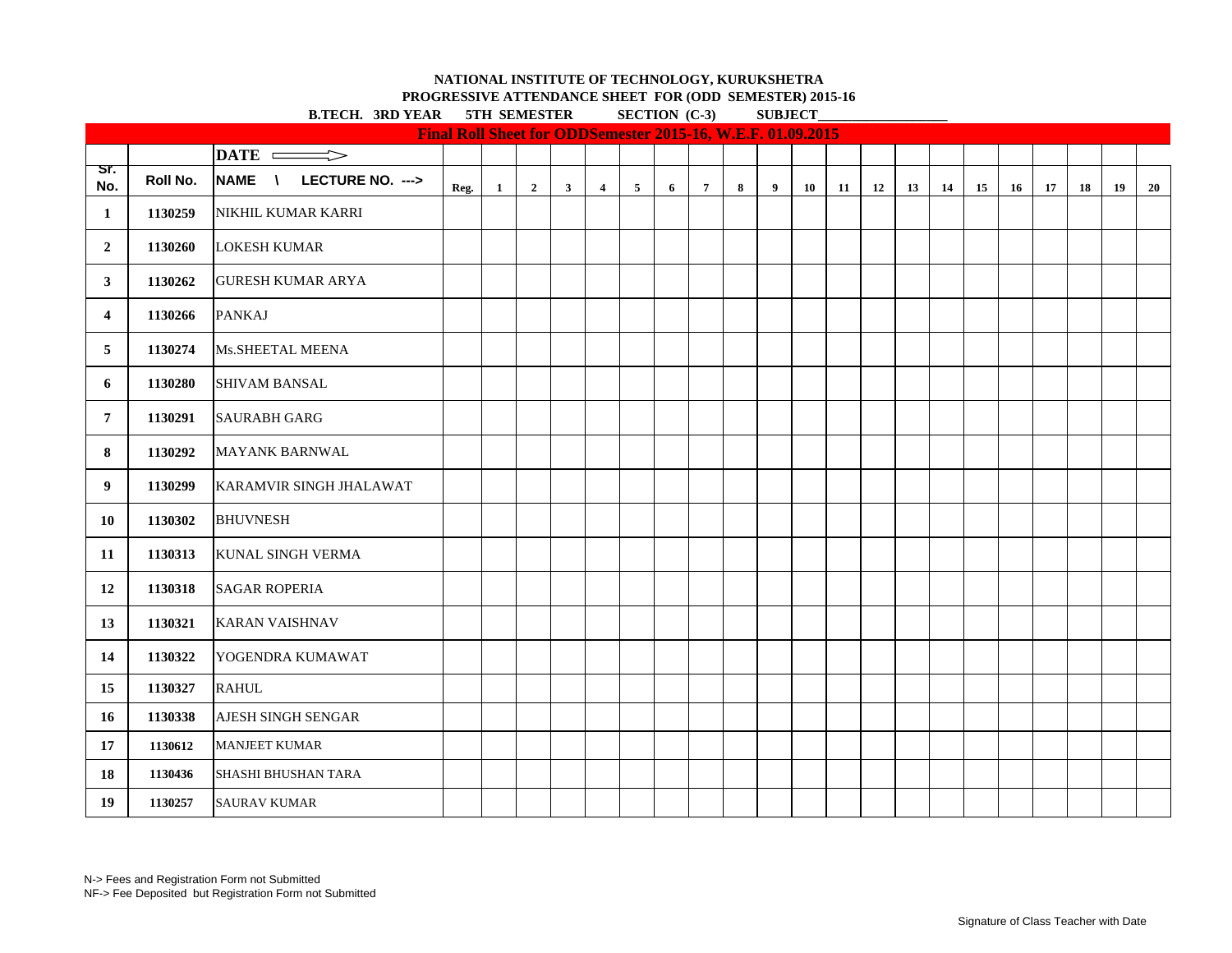**PROGRESSIVE ATTENDANCE SHEET FOR (ODD SEMESTER) 2015-16**<br>NEAR STH SEMESTER SECTION (C.2) SIRECT  $\mathbf{B}$   $\mathbf{F}$   $\mathbf{C}$   $\mathbf{H}$   $\mathbf{A}$   $\mathbf{B}$   $\mathbf{A}$   $\mathbf{B}$   $\mathbf{C}$   $\mathbf{F}$   $\mathbf{H}$   $\mathbf{B}$   $\mathbf{C}$   $\mathbf{F}$   $\mathbf{D}$   $\mathbf{B}$   $\mathbf{F}$   $\mathbf{F}$   $\mathbf{F}$   $\mathbf{F}$   $\mathbf{F}$   $\mathbf{F}$   $\mathbf{F}$   $\mathbf{F}$   $\mathbf{$ 

| <b>B.TECH. 3RD YEAR</b><br>5TH SEMESTER<br><b>SECTION</b> (C-3)<br><b>SUBJECT</b><br>Final Roll Sheet for ODDSemester 2015-16, W.E.F. 01.09.2015 |          |                          |      |              |                |              |                |   |   |                |   |   |    |    |    |    |    |    |    |    |    |    |    |
|--------------------------------------------------------------------------------------------------------------------------------------------------|----------|--------------------------|------|--------------|----------------|--------------|----------------|---|---|----------------|---|---|----|----|----|----|----|----|----|----|----|----|----|
|                                                                                                                                                  |          |                          |      |              |                |              |                |   |   |                |   |   |    |    |    |    |    |    |    |    |    |    |    |
|                                                                                                                                                  |          |                          |      |              |                |              |                |   |   |                |   |   |    |    |    |    |    |    |    |    |    |    |    |
| Sr.<br>No.                                                                                                                                       | Roll No. | NAME \ LECTURE NO. --->  | Reg. | $\mathbf{1}$ | $\overline{2}$ | $\mathbf{3}$ | $\overline{4}$ | 5 | 6 | $\overline{7}$ | 8 | 9 | 10 | 11 | 12 | 13 | 14 | 15 | 16 | 17 | 18 | 19 | 20 |
| 1                                                                                                                                                | 1130259  | NIKHIL KUMAR KARRI       |      |              |                |              |                |   |   |                |   |   |    |    |    |    |    |    |    |    |    |    |    |
| $\overline{2}$                                                                                                                                   | 1130260  | <b>LOKESH KUMAR</b>      |      |              |                |              |                |   |   |                |   |   |    |    |    |    |    |    |    |    |    |    |    |
| 3                                                                                                                                                | 1130262  | <b>GURESH KUMAR ARYA</b> |      |              |                |              |                |   |   |                |   |   |    |    |    |    |    |    |    |    |    |    |    |
| $\overline{4}$                                                                                                                                   | 1130266  | <b>PANKAJ</b>            |      |              |                |              |                |   |   |                |   |   |    |    |    |    |    |    |    |    |    |    |    |
| 5                                                                                                                                                | 1130274  | Ms.SHEETAL MEENA         |      |              |                |              |                |   |   |                |   |   |    |    |    |    |    |    |    |    |    |    |    |
| 6                                                                                                                                                | 1130280  | <b>SHIVAM BANSAL</b>     |      |              |                |              |                |   |   |                |   |   |    |    |    |    |    |    |    |    |    |    |    |
| $\overline{7}$                                                                                                                                   | 1130291  | <b>SAURABH GARG</b>      |      |              |                |              |                |   |   |                |   |   |    |    |    |    |    |    |    |    |    |    |    |
| 8                                                                                                                                                | 1130292  | <b>MAYANK BARNWAL</b>    |      |              |                |              |                |   |   |                |   |   |    |    |    |    |    |    |    |    |    |    |    |
| 9                                                                                                                                                | 1130299  | KARAMVIR SINGH JHALAWAT  |      |              |                |              |                |   |   |                |   |   |    |    |    |    |    |    |    |    |    |    |    |
| 10                                                                                                                                               | 1130302  | <b>BHUVNESH</b>          |      |              |                |              |                |   |   |                |   |   |    |    |    |    |    |    |    |    |    |    |    |
| 11                                                                                                                                               | 1130313  | <b>KUNAL SINGH VERMA</b> |      |              |                |              |                |   |   |                |   |   |    |    |    |    |    |    |    |    |    |    |    |
| 12                                                                                                                                               | 1130318  | <b>SAGAR ROPERIA</b>     |      |              |                |              |                |   |   |                |   |   |    |    |    |    |    |    |    |    |    |    |    |
| 13                                                                                                                                               | 1130321  | <b>KARAN VAISHNAV</b>    |      |              |                |              |                |   |   |                |   |   |    |    |    |    |    |    |    |    |    |    |    |
| 14                                                                                                                                               | 1130322  | YOGENDRA KUMAWAT         |      |              |                |              |                |   |   |                |   |   |    |    |    |    |    |    |    |    |    |    |    |
| 15                                                                                                                                               | 1130327  | <b>RAHUL</b>             |      |              |                |              |                |   |   |                |   |   |    |    |    |    |    |    |    |    |    |    |    |
| 16                                                                                                                                               | 1130338  | AJESH SINGH SENGAR       |      |              |                |              |                |   |   |                |   |   |    |    |    |    |    |    |    |    |    |    |    |
| 17                                                                                                                                               | 1130612  | <b>MANJEET KUMAR</b>     |      |              |                |              |                |   |   |                |   |   |    |    |    |    |    |    |    |    |    |    |    |
| 18                                                                                                                                               | 1130436  | SHASHI BHUSHAN TARA      |      |              |                |              |                |   |   |                |   |   |    |    |    |    |    |    |    |    |    |    |    |
| 19                                                                                                                                               | 1130257  | <b>SAURAV KUMAR</b>      |      |              |                |              |                |   |   |                |   |   |    |    |    |    |    |    |    |    |    |    |    |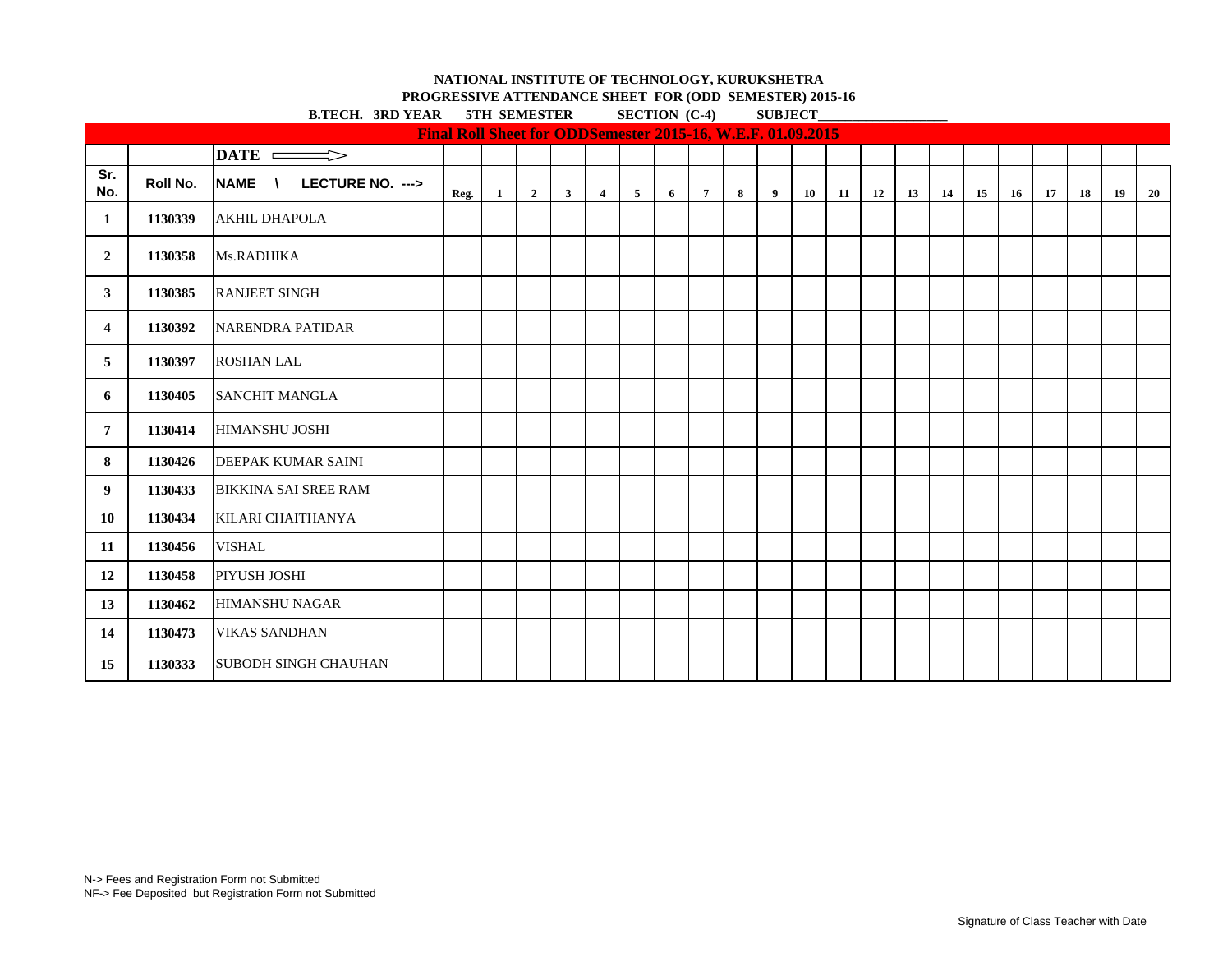**PROGRESSIVE ATTENDANCE SHEET FOR (ODD SEMESTER) 2015-16**

|                |          | <b>B.TECH. 3RD YEAR 5TH SEMESTER</b>             |                                                             |    |                |              |                |                | <b>SECTION</b> (C-4) |                 |   | <b>SUBJECT</b> |    |    |    |    |    |    |    |    |    |    |    |
|----------------|----------|--------------------------------------------------|-------------------------------------------------------------|----|----------------|--------------|----------------|----------------|----------------------|-----------------|---|----------------|----|----|----|----|----|----|----|----|----|----|----|
|                |          |                                                  | Final Roll Sheet for ODDSemester 2015-16, W.E.F. 01.09.2015 |    |                |              |                |                |                      |                 |   |                |    |    |    |    |    |    |    |    |    |    |    |
|                |          | DATE =======>                                    |                                                             |    |                |              |                |                |                      |                 |   |                |    |    |    |    |    |    |    |    |    |    |    |
| Sr.<br>No.     | Roll No. | <b>NAME</b><br>LECTURE NO. ---><br>$\mathcal{N}$ | Reg.                                                        | -1 | $\overline{2}$ | $\mathbf{3}$ | $\overline{4}$ | 5 <sub>5</sub> | 6                    | $7\phantom{.0}$ | 8 | 9              | 10 | 11 | 12 | 13 | 14 | 15 | 16 | 17 | 18 | 19 | 20 |
| $\mathbf{1}$   | 1130339  | <b>AKHIL DHAPOLA</b>                             |                                                             |    |                |              |                |                |                      |                 |   |                |    |    |    |    |    |    |    |    |    |    |    |
| $\overline{2}$ | 1130358  | Ms.RADHIKA                                       |                                                             |    |                |              |                |                |                      |                 |   |                |    |    |    |    |    |    |    |    |    |    |    |
| 3 <sup>1</sup> | 1130385  | <b>RANJEET SINGH</b>                             |                                                             |    |                |              |                |                |                      |                 |   |                |    |    |    |    |    |    |    |    |    |    |    |
| $\overline{4}$ | 1130392  | <b>NARENDRA PATIDAR</b>                          |                                                             |    |                |              |                |                |                      |                 |   |                |    |    |    |    |    |    |    |    |    |    |    |
| 5              | 1130397  | <b>ROSHAN LAL</b>                                |                                                             |    |                |              |                |                |                      |                 |   |                |    |    |    |    |    |    |    |    |    |    |    |
| 6              | 1130405  | <b>SANCHIT MANGLA</b>                            |                                                             |    |                |              |                |                |                      |                 |   |                |    |    |    |    |    |    |    |    |    |    |    |
| $\overline{7}$ | 1130414  | <b>HIMANSHU JOSHI</b>                            |                                                             |    |                |              |                |                |                      |                 |   |                |    |    |    |    |    |    |    |    |    |    |    |
| 8              | 1130426  | <b>DEEPAK KUMAR SAINI</b>                        |                                                             |    |                |              |                |                |                      |                 |   |                |    |    |    |    |    |    |    |    |    |    |    |
| 9              | 1130433  | <b>BIKKINA SAI SREE RAM</b>                      |                                                             |    |                |              |                |                |                      |                 |   |                |    |    |    |    |    |    |    |    |    |    |    |
| 10             | 1130434  | KILARI CHAITHANYA                                |                                                             |    |                |              |                |                |                      |                 |   |                |    |    |    |    |    |    |    |    |    |    |    |
| 11             | 1130456  | <b>VISHAL</b>                                    |                                                             |    |                |              |                |                |                      |                 |   |                |    |    |    |    |    |    |    |    |    |    |    |
| 12             | 1130458  | PIYUSH JOSHI                                     |                                                             |    |                |              |                |                |                      |                 |   |                |    |    |    |    |    |    |    |    |    |    |    |
| 13             | 1130462  | <b>HIMANSHU NAGAR</b>                            |                                                             |    |                |              |                |                |                      |                 |   |                |    |    |    |    |    |    |    |    |    |    |    |
| 14             | 1130473  | <b>VIKAS SANDHAN</b>                             |                                                             |    |                |              |                |                |                      |                 |   |                |    |    |    |    |    |    |    |    |    |    |    |
| 15             | 1130333  | <b>SUBODH SINGH CHAUHAN</b>                      |                                                             |    |                |              |                |                |                      |                 |   |                |    |    |    |    |    |    |    |    |    |    |    |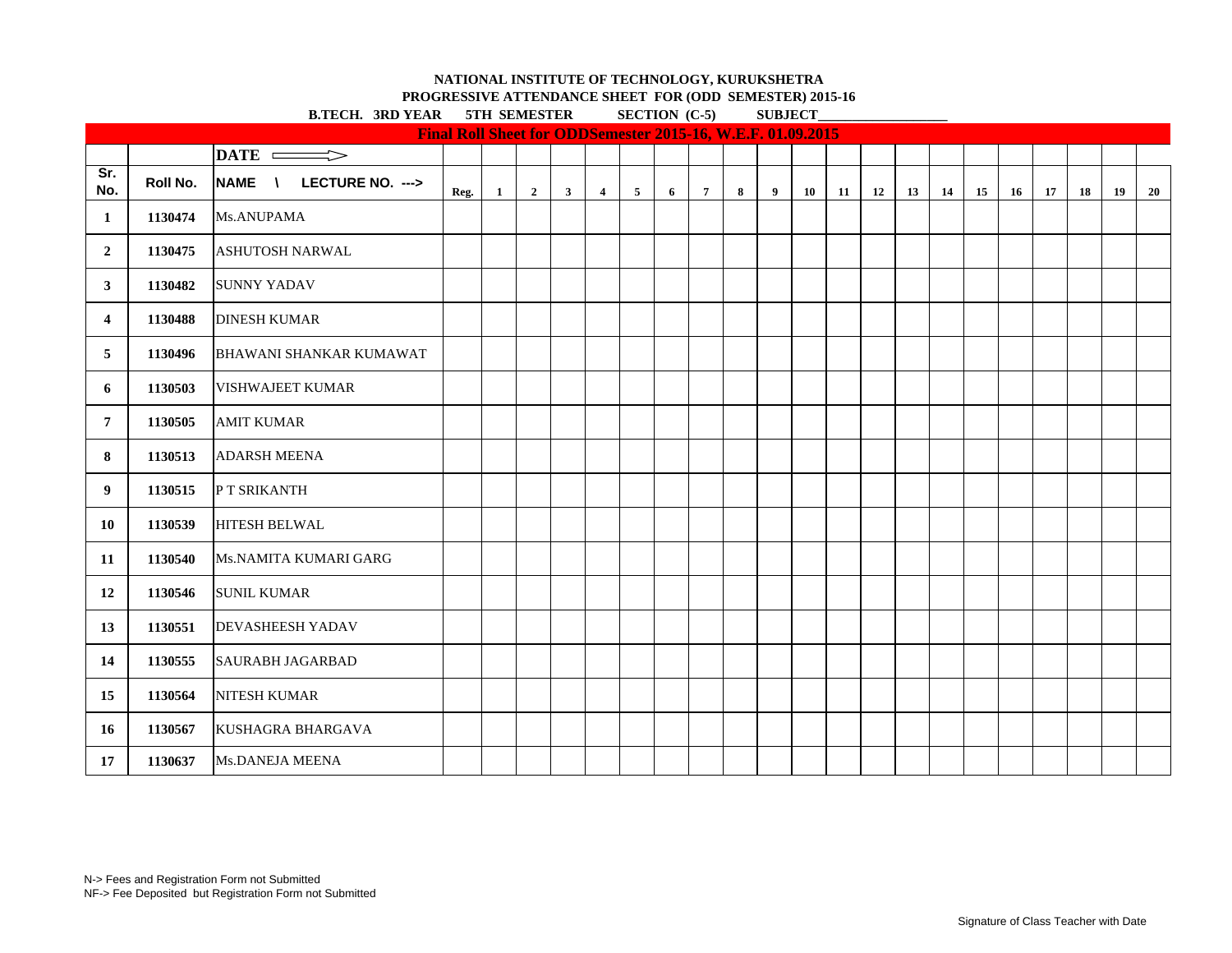**PROGRESSIVE ATTENDANCE SHEET FOR (ODD SEMESTER) 2015-16 B.TECH.** 3RD VEAR 5TH SEMESTER SECTION (C-5) SUBJECT

|                | D.IEUH. JRD IEAR<br><b>SIN SEMESIER</b><br>$\sum_{i=1}^{n}$<br>Final Roll Sheet for ODDSemester 2015-16, W.E.F. 01.09.2015 |                                |      |              |                |              |                         |                |   |                |   |   | <b>SUDJECT</b> |    |    |    |    |    |    |    |    |    |    |
|----------------|----------------------------------------------------------------------------------------------------------------------------|--------------------------------|------|--------------|----------------|--------------|-------------------------|----------------|---|----------------|---|---|----------------|----|----|----|----|----|----|----|----|----|----|
|                |                                                                                                                            |                                |      |              |                |              |                         |                |   |                |   |   |                |    |    |    |    |    |    |    |    |    |    |
|                |                                                                                                                            | DATE =========>                |      |              |                |              |                         |                |   |                |   |   |                |    |    |    |    |    |    |    |    |    |    |
| Sr.<br>No.     | Roll No.                                                                                                                   | NAME \<br>LECTURE NO. --->     | Reg. | $\mathbf{1}$ | $\overline{2}$ | $\mathbf{3}$ | $\overline{\mathbf{4}}$ | 5 <sub>5</sub> | 6 | $\overline{7}$ | 8 | 9 | 10             | 11 | 12 | 13 | 14 | 15 | 16 | 17 | 18 | 19 | 20 |
| 1              | 1130474                                                                                                                    | Ms.ANUPAMA                     |      |              |                |              |                         |                |   |                |   |   |                |    |    |    |    |    |    |    |    |    |    |
| $\overline{2}$ | 1130475                                                                                                                    | <b>ASHUTOSH NARWAL</b>         |      |              |                |              |                         |                |   |                |   |   |                |    |    |    |    |    |    |    |    |    |    |
| 3              | 1130482                                                                                                                    | <b>SUNNY YADAV</b>             |      |              |                |              |                         |                |   |                |   |   |                |    |    |    |    |    |    |    |    |    |    |
| 4              | 1130488                                                                                                                    | <b>DINESH KUMAR</b>            |      |              |                |              |                         |                |   |                |   |   |                |    |    |    |    |    |    |    |    |    |    |
| 5              | 1130496                                                                                                                    | <b>BHAWANI SHANKAR KUMAWAT</b> |      |              |                |              |                         |                |   |                |   |   |                |    |    |    |    |    |    |    |    |    |    |
| 6              | 1130503                                                                                                                    | VISHWAJEET KUMAR               |      |              |                |              |                         |                |   |                |   |   |                |    |    |    |    |    |    |    |    |    |    |
| $\overline{7}$ | 1130505                                                                                                                    | <b>AMIT KUMAR</b>              |      |              |                |              |                         |                |   |                |   |   |                |    |    |    |    |    |    |    |    |    |    |
| 8              | 1130513                                                                                                                    | <b>ADARSH MEENA</b>            |      |              |                |              |                         |                |   |                |   |   |                |    |    |    |    |    |    |    |    |    |    |
| 9              | 1130515                                                                                                                    | P T SRIKANTH                   |      |              |                |              |                         |                |   |                |   |   |                |    |    |    |    |    |    |    |    |    |    |
| 10             | 1130539                                                                                                                    | <b>HITESH BELWAL</b>           |      |              |                |              |                         |                |   |                |   |   |                |    |    |    |    |    |    |    |    |    |    |
| 11             | 1130540                                                                                                                    | Ms.NAMITA KUMARI GARG          |      |              |                |              |                         |                |   |                |   |   |                |    |    |    |    |    |    |    |    |    |    |
| 12             | 1130546                                                                                                                    | <b>SUNIL KUMAR</b>             |      |              |                |              |                         |                |   |                |   |   |                |    |    |    |    |    |    |    |    |    |    |
| 13             | 1130551                                                                                                                    | <b>DEVASHEESH YADAV</b>        |      |              |                |              |                         |                |   |                |   |   |                |    |    |    |    |    |    |    |    |    |    |
| 14             | 1130555                                                                                                                    | <b>SAURABH JAGARBAD</b>        |      |              |                |              |                         |                |   |                |   |   |                |    |    |    |    |    |    |    |    |    |    |
| 15             | 1130564                                                                                                                    | NITESH KUMAR                   |      |              |                |              |                         |                |   |                |   |   |                |    |    |    |    |    |    |    |    |    |    |
| 16             | 1130567                                                                                                                    | KUSHAGRA BHARGAVA              |      |              |                |              |                         |                |   |                |   |   |                |    |    |    |    |    |    |    |    |    |    |
| 17             | 1130637                                                                                                                    | Ms.DANEJA MEENA                |      |              |                |              |                         |                |   |                |   |   |                |    |    |    |    |    |    |    |    |    |    |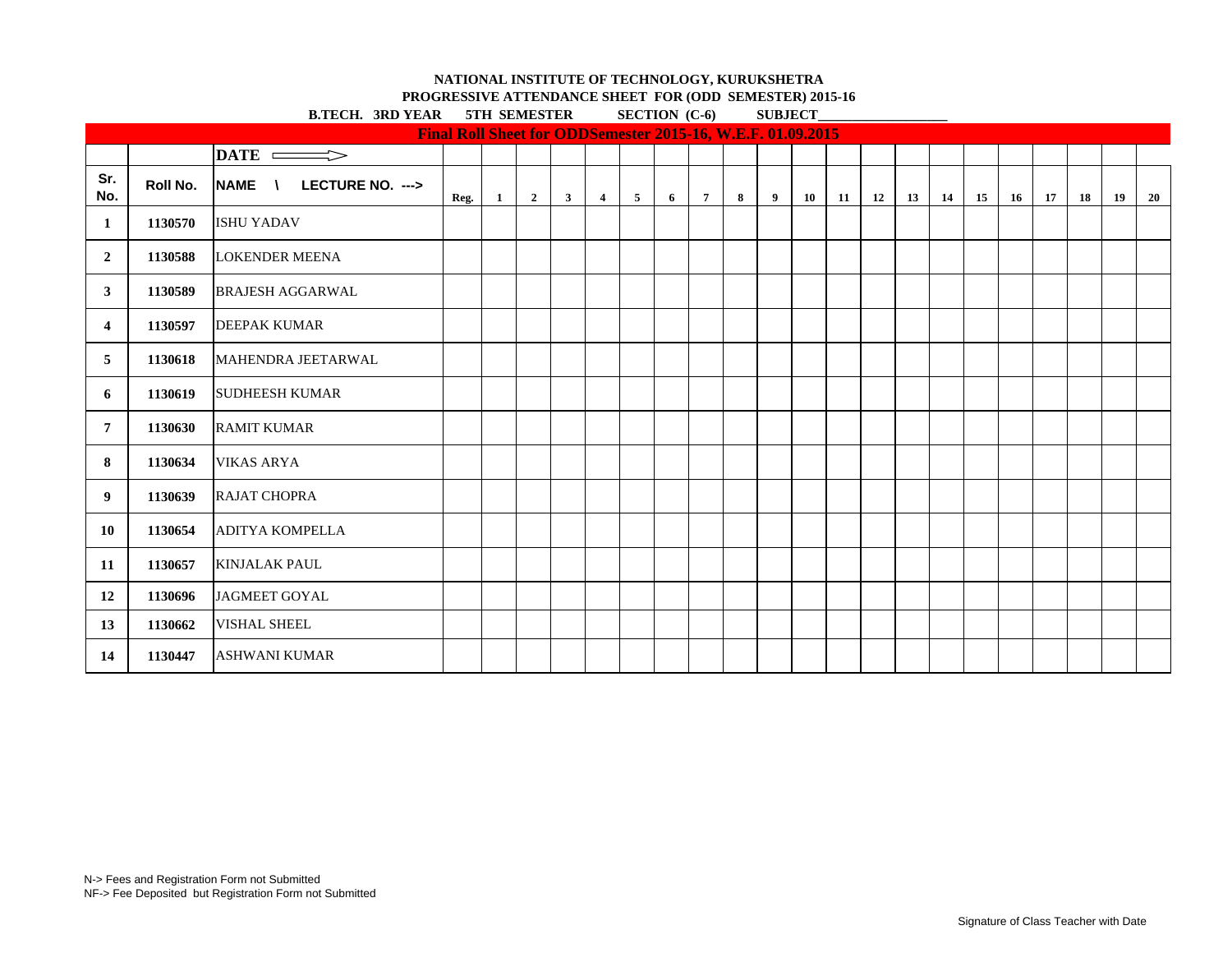**B.TECH. 3RD VEAR 5TH SEMESTER SECTION (C-6) SUBJECT PROGRESSIVE ATTENDANCE SHEET FOR (ODD SEMESTER) 2015-16**

|                |          | D.IEUH. JAD IEAN         | ЭНЦ ЭБЛЕРИЕРИЕР                                             |              |                         | $\Omega$     |                |                 |   | 5000ECI         |   |   |    |    |    |    |    |    |    |    |    |    |    |
|----------------|----------|--------------------------|-------------------------------------------------------------|--------------|-------------------------|--------------|----------------|-----------------|---|-----------------|---|---|----|----|----|----|----|----|----|----|----|----|----|
|                |          |                          | Final Roll Sheet for ODDSemester 2015-16, W.E.F. 01.09.2015 |              |                         |              |                |                 |   |                 |   |   |    |    |    |    |    |    |    |    |    |    |    |
|                |          | $\overline{\text{DATE}}$ |                                                             |              |                         |              |                |                 |   |                 |   |   |    |    |    |    |    |    |    |    |    |    |    |
| Sr.<br>No.     | Roll No. | NAME \ LECTURE NO. --->  | Reg.                                                        | $\mathbf{1}$ | $\overline{\mathbf{2}}$ | $\mathbf{3}$ | $\overline{4}$ | $5\phantom{.0}$ | 6 | $7\overline{ }$ | 8 | 9 | 10 | 11 | 12 | 13 | 14 | 15 | 16 | 17 | 18 | 19 | 20 |
| 1              | 1130570  | <b>ISHU YADAV</b>        |                                                             |              |                         |              |                |                 |   |                 |   |   |    |    |    |    |    |    |    |    |    |    |    |
| $\overline{2}$ | 1130588  | <b>LOKENDER MEENA</b>    |                                                             |              |                         |              |                |                 |   |                 |   |   |    |    |    |    |    |    |    |    |    |    |    |
| $\mathbf{3}$   | 1130589  | <b>BRAJESH AGGARWAL</b>  |                                                             |              |                         |              |                |                 |   |                 |   |   |    |    |    |    |    |    |    |    |    |    |    |
| $\overline{4}$ | 1130597  | <b>DEEPAK KUMAR</b>      |                                                             |              |                         |              |                |                 |   |                 |   |   |    |    |    |    |    |    |    |    |    |    |    |
| 5              | 1130618  | MAHENDRA JEETARWAL       |                                                             |              |                         |              |                |                 |   |                 |   |   |    |    |    |    |    |    |    |    |    |    |    |
| 6              | 1130619  | <b>SUDHEESH KUMAR</b>    |                                                             |              |                         |              |                |                 |   |                 |   |   |    |    |    |    |    |    |    |    |    |    |    |
| $\overline{7}$ | 1130630  | <b>RAMIT KUMAR</b>       |                                                             |              |                         |              |                |                 |   |                 |   |   |    |    |    |    |    |    |    |    |    |    |    |
| 8              | 1130634  | <b>VIKAS ARYA</b>        |                                                             |              |                         |              |                |                 |   |                 |   |   |    |    |    |    |    |    |    |    |    |    |    |
| 9              | 1130639  | <b>RAJAT CHOPRA</b>      |                                                             |              |                         |              |                |                 |   |                 |   |   |    |    |    |    |    |    |    |    |    |    |    |
| 10             | 1130654  | <b>ADITYA KOMPELLA</b>   |                                                             |              |                         |              |                |                 |   |                 |   |   |    |    |    |    |    |    |    |    |    |    |    |
| 11             | 1130657  | <b>KINJALAK PAUL</b>     |                                                             |              |                         |              |                |                 |   |                 |   |   |    |    |    |    |    |    |    |    |    |    |    |
| 12             | 1130696  | <b>JAGMEET GOYAL</b>     |                                                             |              |                         |              |                |                 |   |                 |   |   |    |    |    |    |    |    |    |    |    |    |    |
| 13             | 1130662  | <b>VISHAL SHEEL</b>      |                                                             |              |                         |              |                |                 |   |                 |   |   |    |    |    |    |    |    |    |    |    |    |    |
| 14             | 1130447  | <b>ASHWANI KUMAR</b>     |                                                             |              |                         |              |                |                 |   |                 |   |   |    |    |    |    |    |    |    |    |    |    |    |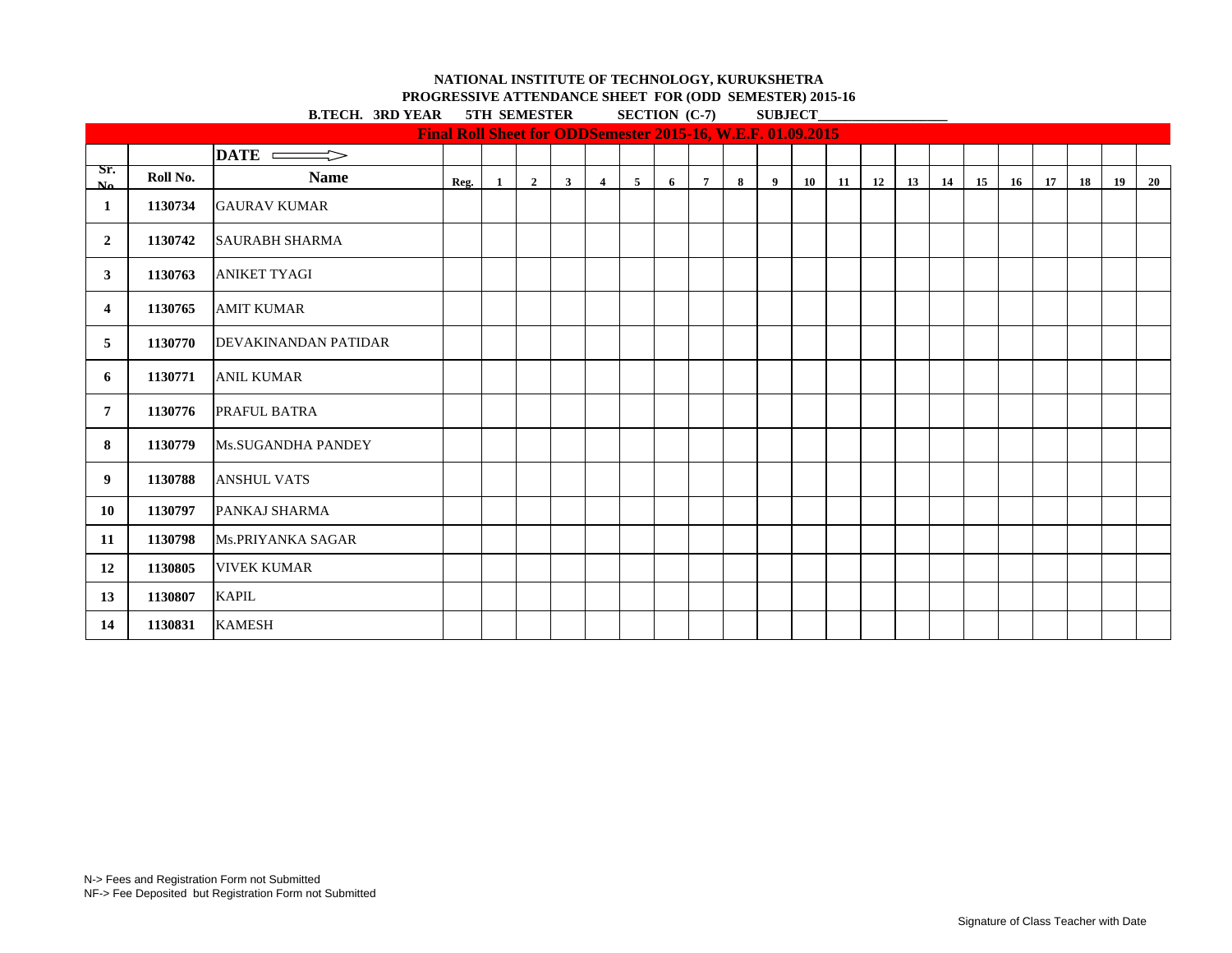**PROGRESSIVE ATTENDANCE SHEET FOR (ODD SEMESTER) 2015-16 B.TECH.** 3RD VEAR 5TH SEMESTER SECTION (C-7) SUBJECT

|                |          | D.IEUIL. JAD IEAA           |                                                             | ЭІП ЭЕМЕЭІЕЛ |                |              |                |   |   | $\delta$ ECTION $(C-1)$ |   |                |    | 5000ECI |    |    |    |    |    |    |    |    |    |
|----------------|----------|-----------------------------|-------------------------------------------------------------|--------------|----------------|--------------|----------------|---|---|-------------------------|---|----------------|----|---------|----|----|----|----|----|----|----|----|----|
|                |          |                             | Final Roll Sheet for ODDSemester 2015-16, W.E.F. 01.09.2015 |              |                |              |                |   |   |                         |   |                |    |         |    |    |    |    |    |    |    |    |    |
|                |          | $\overline{\text{DATE}}$    |                                                             |              |                |              |                |   |   |                         |   |                |    |         |    |    |    |    |    |    |    |    |    |
| Sr.<br>$N_0$   | Roll No. | <b>Name</b>                 | Reg.                                                        | <sup>1</sup> | $\overline{2}$ | $\mathbf{3}$ | $\overline{4}$ | 5 | 6 | $\overline{7}$          | 8 | $\overline{9}$ | 10 | 11      | 12 | 13 | 14 | 15 | 16 | 17 | 18 | 19 | 20 |
| -1             | 1130734  | <b>GAURAV KUMAR</b>         |                                                             |              |                |              |                |   |   |                         |   |                |    |         |    |    |    |    |    |    |    |    |    |
| $\overline{2}$ | 1130742  | <b>SAURABH SHARMA</b>       |                                                             |              |                |              |                |   |   |                         |   |                |    |         |    |    |    |    |    |    |    |    |    |
| 3              | 1130763  | <b>ANIKET TYAGI</b>         |                                                             |              |                |              |                |   |   |                         |   |                |    |         |    |    |    |    |    |    |    |    |    |
| 4              | 1130765  | <b>AMIT KUMAR</b>           |                                                             |              |                |              |                |   |   |                         |   |                |    |         |    |    |    |    |    |    |    |    |    |
| 5              | 1130770  | <b>DEVAKINANDAN PATIDAR</b> |                                                             |              |                |              |                |   |   |                         |   |                |    |         |    |    |    |    |    |    |    |    |    |
| 6              | 1130771  | <b>ANIL KUMAR</b>           |                                                             |              |                |              |                |   |   |                         |   |                |    |         |    |    |    |    |    |    |    |    |    |
| 7              | 1130776  | PRAFUL BATRA                |                                                             |              |                |              |                |   |   |                         |   |                |    |         |    |    |    |    |    |    |    |    |    |
| 8              | 1130779  | <b>Ms.SUGANDHA PANDEY</b>   |                                                             |              |                |              |                |   |   |                         |   |                |    |         |    |    |    |    |    |    |    |    |    |
| 9              | 1130788  | <b>ANSHUL VATS</b>          |                                                             |              |                |              |                |   |   |                         |   |                |    |         |    |    |    |    |    |    |    |    |    |
| 10             | 1130797  | PANKAJ SHARMA               |                                                             |              |                |              |                |   |   |                         |   |                |    |         |    |    |    |    |    |    |    |    |    |
| 11             | 1130798  | Ms.PRIYANKA SAGAR           |                                                             |              |                |              |                |   |   |                         |   |                |    |         |    |    |    |    |    |    |    |    |    |
| 12             | 1130805  | <b>VIVEK KUMAR</b>          |                                                             |              |                |              |                |   |   |                         |   |                |    |         |    |    |    |    |    |    |    |    |    |
| 13             | 1130807  | <b>KAPIL</b>                |                                                             |              |                |              |                |   |   |                         |   |                |    |         |    |    |    |    |    |    |    |    |    |
| 14             | 1130831  | <b>KAMESH</b>               |                                                             |              |                |              |                |   |   |                         |   |                |    |         |    |    |    |    |    |    |    |    |    |